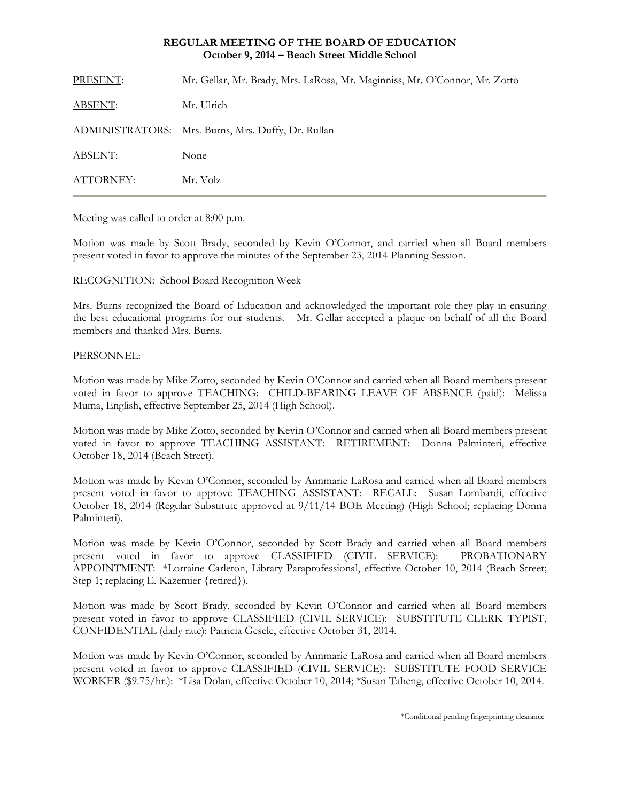# **REGULAR MEETING OF THE BOARD OF EDUCATION October 9, 2014 – Beach Street Middle School**

| PRESENT:       | Mr. Gellar, Mr. Brady, Mrs. LaRosa, Mr. Maginniss, Mr. O'Connor, Mr. Zotto |
|----------------|----------------------------------------------------------------------------|
| <b>ABSENT:</b> | Mr. Ulrich                                                                 |
|                | ADMINISTRATORS: Mrs. Burns, Mrs. Duffy, Dr. Rullan                         |
| <b>ABSENT:</b> | None                                                                       |
| ATTORNEY:      | Mr. Volz                                                                   |

Meeting was called to order at 8:00 p.m.

Motion was made by Scott Brady, seconded by Kevin O'Connor, and carried when all Board members present voted in favor to approve the minutes of the September 23, 2014 Planning Session.

RECOGNITION: School Board Recognition Week

Mrs. Burns recognized the Board of Education and acknowledged the important role they play in ensuring the best educational programs for our students. Mr. Gellar accepted a plaque on behalf of all the Board members and thanked Mrs. Burns.

## PERSONNEL:

Motion was made by Mike Zotto, seconded by Kevin O'Connor and carried when all Board members present voted in favor to approve TEACHING: CHILD-BEARING LEAVE OF ABSENCE (paid): Melissa Muma, English, effective September 25, 2014 (High School).

Motion was made by Mike Zotto, seconded by Kevin O'Connor and carried when all Board members present voted in favor to approve TEACHING ASSISTANT: RETIREMENT: Donna Palminteri, effective October 18, 2014 (Beach Street).

Motion was made by Kevin O'Connor, seconded by Annmarie LaRosa and carried when all Board members present voted in favor to approve TEACHING ASSISTANT: RECALL: Susan Lombardi, effective October 18, 2014 (Regular Substitute approved at 9/11/14 BOE Meeting) (High School; replacing Donna Palminteri).

Motion was made by Kevin O'Connor, seconded by Scott Brady and carried when all Board members present voted in favor to approve CLASSIFIED (CIVIL SERVICE): PROBATIONARY APPOINTMENT: \*Lorraine Carleton, Library Paraprofessional, effective October 10, 2014 (Beach Street; Step 1; replacing E. Kazemier {retired}).

Motion was made by Scott Brady, seconded by Kevin O'Connor and carried when all Board members present voted in favor to approve CLASSIFIED (CIVIL SERVICE): SUBSTITUTE CLERK TYPIST, CONFIDENTIAL (daily rate): Patricia Gesele, effective October 31, 2014.

Motion was made by Kevin O'Connor, seconded by Annmarie LaRosa and carried when all Board members present voted in favor to approve CLASSIFIED (CIVIL SERVICE): SUBSTITUTE FOOD SERVICE WORKER (\$9.75/hr.): \*Lisa Dolan, effective October 10, 2014; \*Susan Taheng, effective October 10, 2014.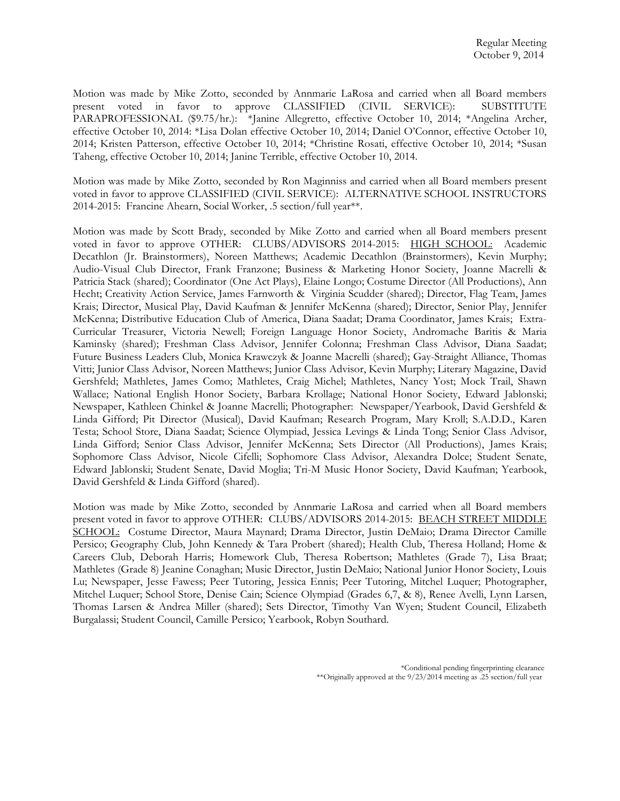Motion was made by Mike Zotto, seconded by Annmarie LaRosa and carried when all Board members present voted in favor to approve CLASSIFIED (CIVIL SERVICE): SUBSTITUTE PARAPROFESSIONAL (\$9.75/hr.): \*Janine Allegretto, effective October 10, 2014; \*Angelina Archer, effective October 10, 2014: \*Lisa Dolan effective October 10, 2014; Daniel O'Connor, effective October 10, 2014; Kristen Patterson, effective October 10, 2014; \*Christine Rosati, effective October 10, 2014; \*Susan Taheng, effective October 10, 2014; Janine Terrible, effective October 10, 2014.

Motion was made by Mike Zotto, seconded by Ron Maginniss and carried when all Board members present voted in favor to approve CLASSIFIED (CIVIL SERVICE): ALTERNATIVE SCHOOL INSTRUCTORS 2014-2015: Francine Ahearn, Social Worker, .5 section/full year\*\*.

Motion was made by Scott Brady, seconded by Mike Zotto and carried when all Board members present voted in favor to approve OTHER: CLUBS/ADVISORS 2014-2015: HIGH SCHOOL: Academic Decathlon (Jr. Brainstormers), Noreen Matthews; Academic Decathlon (Brainstormers), Kevin Murphy; Audio-Visual Club Director, Frank Franzone; Business & Marketing Honor Society, Joanne Macrelli & Patricia Stack (shared); Coordinator (One Act Plays), Elaine Longo; Costume Director (All Productions), Ann Hecht; Creativity Action Service, James Farnworth & Virginia Scudder (shared); Director, Flag Team, James Krais; Director, Musical Play, David Kaufman & Jennifer McKenna (shared); Director, Senior Play, Jennifer McKenna; Distributive Education Club of America, Diana Saadat; Drama Coordinator, James Krais; Extra-Curricular Treasurer, Victoria Newell; Foreign Language Honor Society, Andromache Baritis & Maria Kaminsky (shared); Freshman Class Advisor, Jennifer Colonna; Freshman Class Advisor, Diana Saadat; Future Business Leaders Club, Monica Krawczyk & Joanne Macrelli (shared); Gay-Straight Alliance, Thomas Vitti; Junior Class Advisor, Noreen Matthews; Junior Class Advisor, Kevin Murphy; Literary Magazine, David Gershfeld; Mathletes, James Como; Mathletes, Craig Michel; Mathletes, Nancy Yost; Mock Trail, Shawn Wallace; National English Honor Society, Barbara Krollage; National Honor Society, Edward Jablonski; Newspaper, Kathleen Chinkel & Joanne Macrelli; Photographer: Newspaper/Yearbook, David Gershfeld & Linda Gifford; Pit Director (Musical), David Kaufman; Research Program, Mary Kroll; S.A.D.D., Karen Testa; School Store, Diana Saadat; Science Olympiad, Jessica Levings & Linda Tong; Senior Class Advisor, Linda Gifford; Senior Class Advisor, Jennifer McKenna; Sets Director (All Productions), James Krais; Sophomore Class Advisor, Nicole Cifelli; Sophomore Class Advisor, Alexandra Dolce; Student Senate, Edward Jablonski; Student Senate, David Moglia; Tri-M Music Honor Society, David Kaufman; Yearbook, David Gershfeld & Linda Gifford (shared).

Motion was made by Mike Zotto, seconded by Annmarie LaRosa and carried when all Board members present voted in favor to approve OTHER: CLUBS/ADVISORS 2014-2015: BEACH STREET MIDDLE SCHOOL: Costume Director, Maura Maynard; Drama Director, Justin DeMaio; Drama Director Camille Persico; Geography Club, John Kennedy & Tara Probert (shared); Health Club, Theresa Holland; Home & Careers Club, Deborah Harris; Homework Club, Theresa Robertson; Mathletes (Grade 7), Lisa Braat; Mathletes (Grade 8) Jeanine Conaghan; Music Director, Justin DeMaio; National Junior Honor Society, Louis Lu; Newspaper, Jesse Fawess; Peer Tutoring, Jessica Ennis; Peer Tutoring, Mitchel Luquer; Photographer, Mitchel Luquer; School Store, Denise Cain; Science Olympiad (Grades 6,7, & 8), Renee Avelli, Lynn Larsen, Thomas Larsen & Andrea Miller (shared); Sets Director, Timothy Van Wyen; Student Council, Elizabeth Burgalassi; Student Council, Camille Persico; Yearbook, Robyn Southard.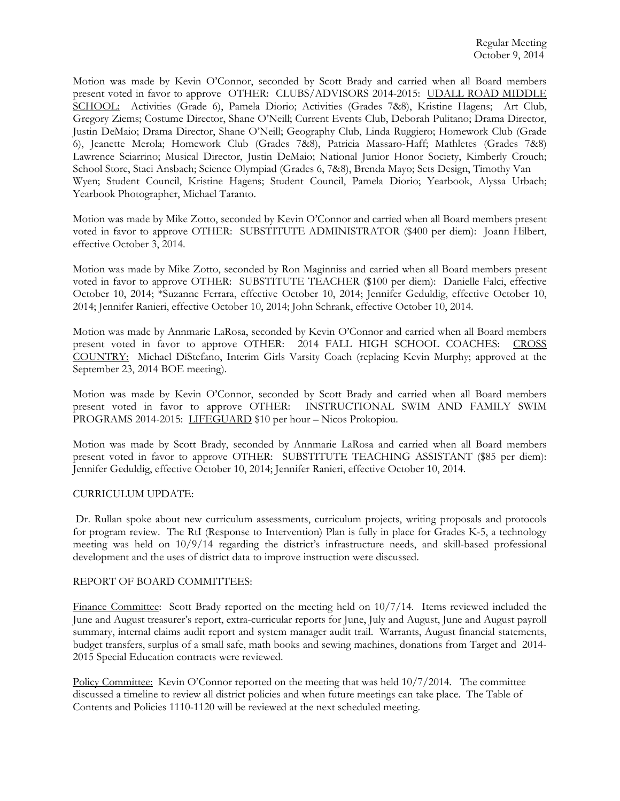Motion was made by Kevin O'Connor, seconded by Scott Brady and carried when all Board members present voted in favor to approve OTHER: CLUBS/ADVISORS 2014-2015: UDALL ROAD MIDDLE SCHOOL: Activities (Grade 6), Pamela Diorio; Activities (Grades 7&8), Kristine Hagens; Art Club, Gregory Ziems; Costume Director, Shane O'Neill; Current Events Club, Deborah Pulitano; Drama Director, Justin DeMaio; Drama Director, Shane O'Neill; Geography Club, Linda Ruggiero; Homework Club (Grade 6), Jeanette Merola; Homework Club (Grades 7&8), Patricia Massaro-Haff; Mathletes (Grades 7&8) Lawrence Sciarrino; Musical Director, Justin DeMaio; National Junior Honor Society, Kimberly Crouch; School Store, Staci Ansbach; Science Olympiad (Grades 6, 7&8), Brenda Mayo; Sets Design, Timothy Van Wyen; Student Council, Kristine Hagens; Student Council, Pamela Diorio; Yearbook, Alyssa Urbach; Yearbook Photographer, Michael Taranto.

Motion was made by Mike Zotto, seconded by Kevin O'Connor and carried when all Board members present voted in favor to approve OTHER: SUBSTITUTE ADMINISTRATOR (\$400 per diem): Joann Hilbert, effective October 3, 2014.

Motion was made by Mike Zotto, seconded by Ron Maginniss and carried when all Board members present voted in favor to approve OTHER: SUBSTITUTE TEACHER (\$100 per diem): Danielle Falci, effective October 10, 2014; \*Suzanne Ferrara, effective October 10, 2014; Jennifer Geduldig, effective October 10, 2014; Jennifer Ranieri, effective October 10, 2014; John Schrank, effective October 10, 2014.

Motion was made by Annmarie LaRosa, seconded by Kevin O'Connor and carried when all Board members present voted in favor to approve OTHER: 2014 FALL HIGH SCHOOL COACHES: CROSS COUNTRY: Michael DiStefano, Interim Girls Varsity Coach (replacing Kevin Murphy; approved at the September 23, 2014 BOE meeting).

Motion was made by Kevin O'Connor, seconded by Scott Brady and carried when all Board members present voted in favor to approve OTHER: INSTRUCTIONAL SWIM AND FAMILY SWIM PROGRAMS 2014-2015: LIFEGUARD \$10 per hour – Nicos Prokopiou.

Motion was made by Scott Brady, seconded by Annmarie LaRosa and carried when all Board members present voted in favor to approve OTHER: SUBSTITUTE TEACHING ASSISTANT (\$85 per diem): Jennifer Geduldig, effective October 10, 2014; Jennifer Ranieri, effective October 10, 2014.

## CURRICULUM UPDATE:

 Dr. Rullan spoke about new curriculum assessments, curriculum projects, writing proposals and protocols for program review. The RtI (Response to Intervention) Plan is fully in place for Grades K-5, a technology meeting was held on 10/9/14 regarding the district's infrastructure needs, and skill-based professional development and the uses of district data to improve instruction were discussed.

## REPORT OF BOARD COMMITTEES:

Finance Committee: Scott Brady reported on the meeting held on 10/7/14. Items reviewed included the June and August treasurer's report, extra-curricular reports for June, July and August, June and August payroll summary, internal claims audit report and system manager audit trail. Warrants, August financial statements, budget transfers, surplus of a small safe, math books and sewing machines, donations from Target and 2014- 2015 Special Education contracts were reviewed.

Policy Committee: Kevin O'Connor reported on the meeting that was held 10/7/2014. The committee discussed a timeline to review all district policies and when future meetings can take place. The Table of Contents and Policies 1110-1120 will be reviewed at the next scheduled meeting.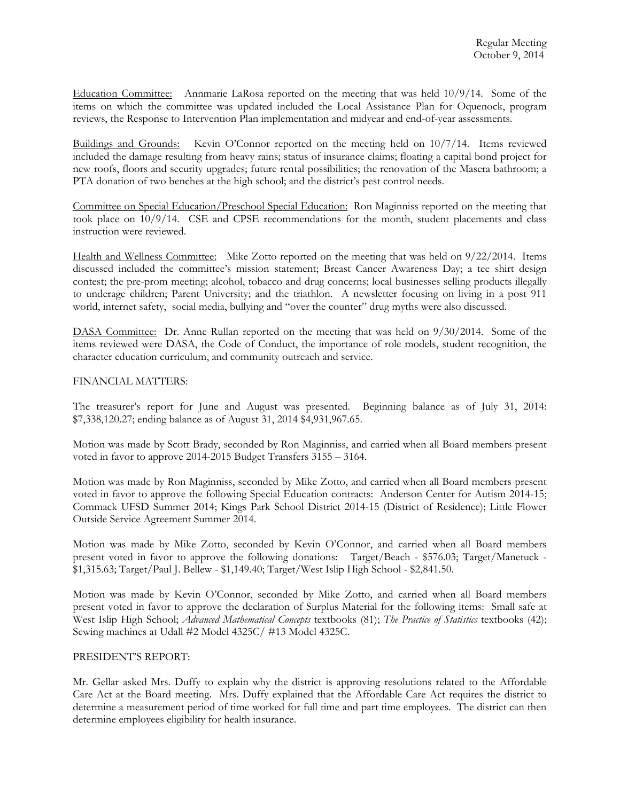Education Committee: Annmarie LaRosa reported on the meeting that was held 10/9/14. Some of the items on which the committee was updated included the Local Assistance Plan for Oquenock, program reviews, the Response to Intervention Plan implementation and midyear and end-of-year assessments.

Buildings and Grounds: Kevin O'Connor reported on the meeting held on 10/7/14. Items reviewed included the damage resulting from heavy rains; status of insurance claims; floating a capital bond project for new roofs, floors and security upgrades; future rental possibilities; the renovation of the Masera bathroom; a PTA donation of two benches at the high school; and the district's pest control needs.

Committee on Special Education/Preschool Special Education: Ron Maginniss reported on the meeting that took place on 10/9/14. CSE and CPSE recommendations for the month, student placements and class instruction were reviewed.

Health and Wellness Committee: Mike Zotto reported on the meeting that was held on  $9/22/2014$ . Items discussed included the committee's mission statement; Breast Cancer Awareness Day; a tee shirt design contest; the pre-prom meeting; alcohol, tobacco and drug concerns; local businesses selling products illegally to underage children; Parent University; and the triathlon. A newsletter focusing on living in a post 911 world, internet safety, social media, bullying and "over the counter" drug myths were also discussed.

DASA Committee: Dr. Anne Rullan reported on the meeting that was held on 9/30/2014. Some of the items reviewed were DASA, the Code of Conduct, the importance of role models, student recognition, the character education curriculum, and community outreach and service.

## FINANCIAL MATTERS:

The treasurer's report for June and August was presented. Beginning balance as of July 31, 2014: \$7,338,120.27; ending balance as of August 31, 2014 \$4,931,967.65.

Motion was made by Scott Brady, seconded by Ron Maginniss, and carried when all Board members present voted in favor to approve 2014-2015 Budget Transfers 3155 – 3164.

Motion was made by Ron Maginniss, seconded by Mike Zotto, and carried when all Board members present voted in favor to approve the following Special Education contracts: Anderson Center for Autism 2014-15; Commack UFSD Summer 2014; Kings Park School District 2014-15 (District of Residence); Little Flower Outside Service Agreement Summer 2014.

Motion was made by Mike Zotto, seconded by Kevin O'Connor, and carried when all Board members present voted in favor to approve the following donations: Target/Beach - \$576.03; Target/Manetuck - \$1,315.63; Target/Paul J. Bellew - \$1,149.40; Target/West Islip High School - \$2,841.50.

Motion was made by Kevin O'Connor, seconded by Mike Zotto, and carried when all Board members present voted in favor to approve the declaration of Surplus Material for the following items: Small safe at West Islip High School; *Advanced Mathematical Concepts* textbooks (81); *The Practice of Statistics* textbooks (42); Sewing machines at Udall #2 Model 4325C/ #13 Model 4325C.

## PRESIDENT'S REPORT:

Mr. Gellar asked Mrs. Duffy to explain why the district is approving resolutions related to the Affordable Care Act at the Board meeting. Mrs. Duffy explained that the Affordable Care Act requires the district to determine a measurement period of time worked for full time and part time employees. The district can then determine employees eligibility for health insurance.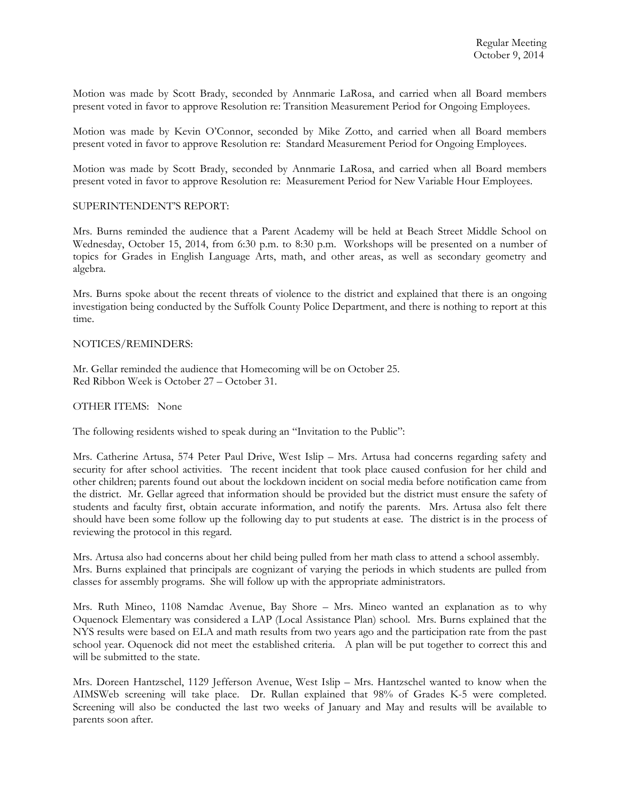Motion was made by Scott Brady, seconded by Annmarie LaRosa, and carried when all Board members present voted in favor to approve Resolution re: Transition Measurement Period for Ongoing Employees.

Motion was made by Kevin O'Connor, seconded by Mike Zotto, and carried when all Board members present voted in favor to approve Resolution re: Standard Measurement Period for Ongoing Employees.

Motion was made by Scott Brady, seconded by Annmarie LaRosa, and carried when all Board members present voted in favor to approve Resolution re: Measurement Period for New Variable Hour Employees.

## SUPERINTENDENT'S REPORT:

Mrs. Burns reminded the audience that a Parent Academy will be held at Beach Street Middle School on Wednesday, October 15, 2014, from 6:30 p.m. to 8:30 p.m. Workshops will be presented on a number of topics for Grades in English Language Arts, math, and other areas, as well as secondary geometry and algebra.

Mrs. Burns spoke about the recent threats of violence to the district and explained that there is an ongoing investigation being conducted by the Suffolk County Police Department, and there is nothing to report at this time.

### NOTICES/REMINDERS:

Mr. Gellar reminded the audience that Homecoming will be on October 25. Red Ribbon Week is October 27 – October 31.

## OTHER ITEMS: None

The following residents wished to speak during an "Invitation to the Public":

Mrs. Catherine Artusa, 574 Peter Paul Drive, West Islip – Mrs. Artusa had concerns regarding safety and security for after school activities. The recent incident that took place caused confusion for her child and other children; parents found out about the lockdown incident on social media before notification came from the district. Mr. Gellar agreed that information should be provided but the district must ensure the safety of students and faculty first, obtain accurate information, and notify the parents. Mrs. Artusa also felt there should have been some follow up the following day to put students at ease. The district is in the process of reviewing the protocol in this regard.

Mrs. Artusa also had concerns about her child being pulled from her math class to attend a school assembly. Mrs. Burns explained that principals are cognizant of varying the periods in which students are pulled from classes for assembly programs. She will follow up with the appropriate administrators.

Mrs. Ruth Mineo, 1108 Namdac Avenue, Bay Shore – Mrs. Mineo wanted an explanation as to why Oquenock Elementary was considered a LAP (Local Assistance Plan) school. Mrs. Burns explained that the NYS results were based on ELA and math results from two years ago and the participation rate from the past school year. Oquenock did not meet the established criteria. A plan will be put together to correct this and will be submitted to the state.

Mrs. Doreen Hantzschel, 1129 Jefferson Avenue, West Islip – Mrs. Hantzschel wanted to know when the AIMSWeb screening will take place. Dr. Rullan explained that 98% of Grades K-5 were completed. Screening will also be conducted the last two weeks of January and May and results will be available to parents soon after.